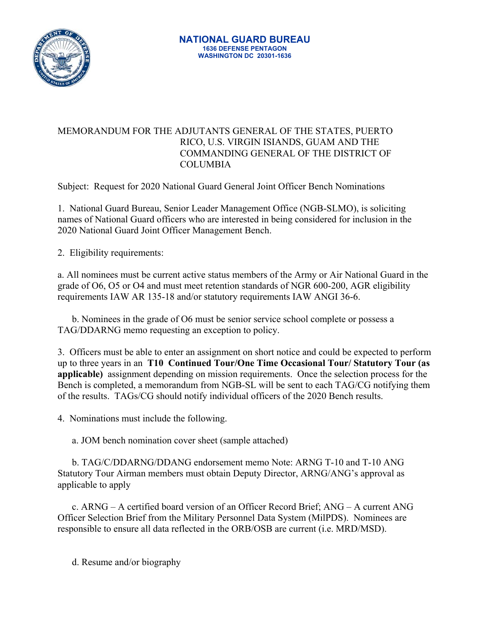

## MEMORANDUM FOR THE ADJUTANTS GENERAL OF THE STATES, PUERTO RICO, U.S. VIRGIN ISIANDS, GUAM AND THE COMMANDING GENERAL OF THE DISTRICT OF COLUMBIA

Subject: Request for 2020 National Guard General Joint Officer Bench Nominations

1. National Guard Bureau, Senior Leader Management Office (NGB-SLMO), is soliciting names of National Guard officers who are interested in being considered for inclusion in the 2020 National Guard Joint Officer Management Bench.

2. Eligibility requirements:

a. All nominees must be current active status members of the Army or Air National Guard in the grade of O6, O5 or O4 and must meet retention standards of NGR 600-200, AGR eligibility requirements IAW AR 135-18 and/or statutory requirements IAW ANGI 36-6.

b. Nominees in the grade of O6 must be senior service school complete or possess a TAG/DDARNG memo requesting an exception to policy.

3. Officers must be able to enter an assignment on short notice and could be expected to perform up to three years in an **T10 Continued Tour/One Time Occasional Tour/ Statutory Tour (as applicable)** assignment depending on mission requirements. Once the selection process for the Bench is completed, a memorandum from NGB-SL will be sent to each TAG/CG notifying them of the results. TAGs/CG should notify individual officers of the 2020 Bench results.

4. Nominations must include the following.

a. JOM bench nomination cover sheet (sample attached)

b. TAG/C/DDARNG/DDANG endorsement memo Note: ARNG T-10 and T-10 ANG Statutory Tour Airman members must obtain Deputy Director, ARNG/ANG's approval as applicable to apply

c. ARNG – A certified board version of an Officer Record Brief; ANG – A current ANG Officer Selection Brief from the Military Personnel Data System (MilPDS). Nominees are responsible to ensure all data reflected in the ORB/OSB are current (i.e. MRD/MSD).

d. Resume and/or biography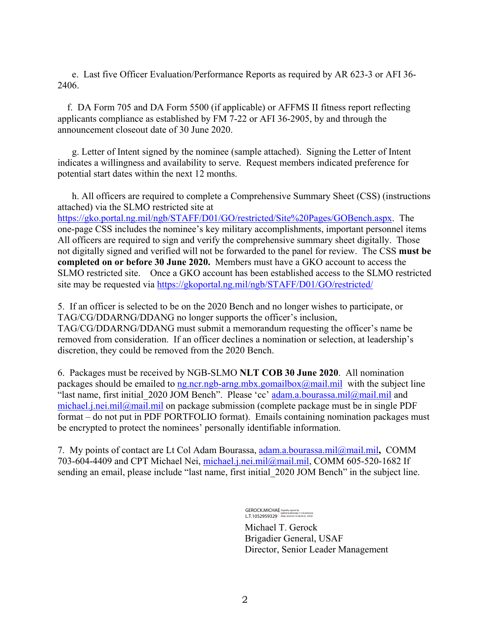e. Last five Officer Evaluation/Performance Reports as required by AR 623-3 or AFI 36- 2406.

 f.DA Form 705 and DA Form 5500 (if applicable) or AFFMS II fitness report reflecting applicants compliance as established by FM 7-22 or AFI 36-2905, by and through the announcement closeout date of 30 June 2020.

g. Letter of Intent signed by the nominee (sample attached). Signing the Letter of Intent indicates a willingness and availability to serve. Request members indicated preference for potential start dates within the next 12 months.

h. All officers are required to complete a Comprehensive Summary Sheet (CSS) (instructions attached) via the SLMO restricted site at https://gko.portal.ng.mil/ngb/STAFF/D01/GO/restricted/Site%20Pages/GOBench.aspx. The one-page CSS includes the nominee's key military accomplishments, important personnel items All officers are required to sign and verify the comprehensive summary sheet digitally. Those not digitally signed and verified will not be forwarded to the panel for review. The CSS **must be completed on or before 30 June 2020.** Members must have a GKO account to access the SLMO restricted site. Once a GKO account has been established access to the SLMO restricted site may be requested via https://gkoportal.ng.mil/ngb/STAFF/D01/GO/restricted/

5. If an officer is selected to be on the 2020 Bench and no longer wishes to participate, or TAG/CG/DDARNG/DDANG no longer supports the officer's inclusion, TAG/CG/DDARNG/DDANG must submit a memorandum requesting the officer's name be removed from consideration. If an officer declines a nomination or selection, at leadership's discretion, they could be removed from the 2020 Bench.

6. Packages must be received by NGB-SLMO **NLT COB 30 June 2020**. All nomination packages should be emailed to ng.ncr.ngb-arng.mbx.gomailbox@mail.mil with the subject line "last name, first initial 2020 JOM Bench". Please 'cc' adam.a.bourassa.mil@mail.mil and michael.j.nei.mil@mail.mil on package submission (complete package must be in single PDF format – do not put in PDF PORTFOLIO format). Emails containing nomination packages must be encrypted to protect the nominees' personally identifiable information.

7. My points of contact are Lt Col Adam Bourassa, adam.a.bourassa.mil@mail.mil**,** COMM 703-604-4409 and CPT Michael Nei, michael.j.nei.mil@mail.mil, COMM 605-520-1682 If sending an email, please include "last name, first initial 2020 JOM Bench" in the subject line.

> GEROCK.MICHAE Digitally signed by<br>L.T.1052959329 - Oate: 2020.05.19 08:04:22 -04'00' L.T.1052959329

Michael T. Gerock Brigadier General, USAF Director, Senior Leader Management